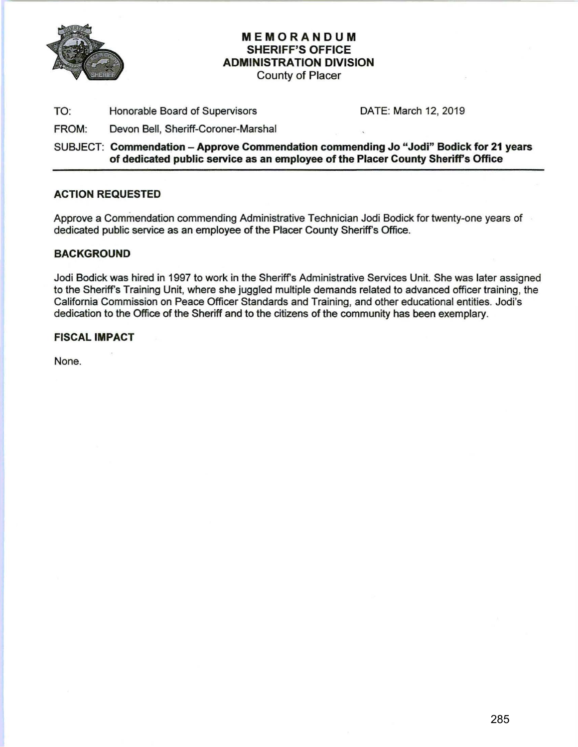

## MEMORANDUM SHERIFF'S OFFICE ADMINISTRATION DIVISION

County of Placer

TO: Honorable Board of Supervisors DATE: March 12, 2019

FROM: Devon Bell, Sheriff-Coroner-Marshal

SUBJECT: Commendation- Approve Commendation commending Jo "Jodi" Bodick for 21 years of dedicated public service as an employee of the Placer County Sheriff's Office

#### ACTION REQUESTED

Approve a Commendation commending Administrative Technician Jodi Bodick for twenty-one years of dedicated public service as an employee of the Placer County Sheriff's Office.

#### BACKGROUND

Jodi Bodick was hired in 1997 to work in the Sheriff's Administrative Services Unit. She was later assigned to the Sheriff's Training Unit, where she juggled multiple demands related to advanced officer training, the California Commission on Peace Officer Standards and Training, and other educational entities. Jodi's dedication to the Office of the Sheriff and to the citizens of the community has been exemplary.

#### FISCAL IMPACT

None.